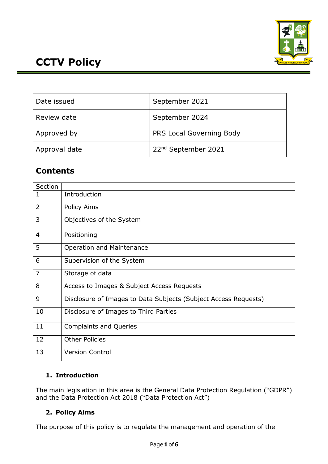

| Date issued   | September 2021                  |
|---------------|---------------------------------|
| Review date   | September 2024                  |
| Approved by   | PRS Local Governing Body        |
| Approval date | 22 <sup>nd</sup> September 2021 |

# **Contents**

| Section        |                                                                 |
|----------------|-----------------------------------------------------------------|
| 1              | Introduction                                                    |
| $\overline{2}$ | Policy Aims                                                     |
| 3              | Objectives of the System                                        |
| $\overline{4}$ | Positioning                                                     |
| 5              | Operation and Maintenance                                       |
| 6              | Supervision of the System                                       |
| $\overline{7}$ | Storage of data                                                 |
| 8              | Access to Images & Subject Access Requests                      |
| 9              | Disclosure of Images to Data Subjects (Subject Access Requests) |
| 10             | Disclosure of Images to Third Parties                           |
| 11             | <b>Complaints and Queries</b>                                   |
| 12             | <b>Other Policies</b>                                           |
| 13             | <b>Version Control</b>                                          |

# **1. Introduction**

The main legislation in this area is the General Data Protection Regulation ("GDPR") and the Data Protection Act 2018 ("Data Protection Act")

# **2. Policy Aims**

The purpose of this policy is to regulate the management and operation of the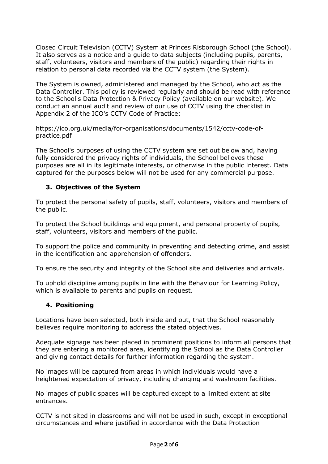Closed Circuit Television (CCTV) System at Princes Risborough School (the School). It also serves as a notice and a guide to data subjects (including pupils, parents, staff, volunteers, visitors and members of the public) regarding their rights in relation to personal data recorded via the CCTV system (the System).

The System is owned, administered and managed by the School, who act as the Data Controller. This policy is reviewed regularly and should be read with reference to the School's Data Protection & Privacy Policy (available on our website). We conduct an annual audit and review of our use of CCTV using the checklist in Appendix 2 of the ICO's CCTV Code of Practice:

https://ico.org.uk/media/for-organisations/documents/1542/cctv-code-ofpractice.pdf

The School's purposes of using the CCTV system are set out below and, having fully considered the privacy rights of individuals, the School believes these purposes are all in its legitimate interests, or otherwise in the public interest. Data captured for the purposes below will not be used for any commercial purpose.

#### **3. Objectives of the System**

To protect the personal safety of pupils, staff, volunteers, visitors and members of the public.

To protect the School buildings and equipment, and personal property of pupils, staff, volunteers, visitors and members of the public.

To support the police and community in preventing and detecting crime, and assist in the identification and apprehension of offenders.

To ensure the security and integrity of the School site and deliveries and arrivals.

To uphold discipline among pupils in line with the Behaviour for Learning Policy, which is available to parents and pupils on request.

#### **4. Positioning**

Locations have been selected, both inside and out, that the School reasonably believes require monitoring to address the stated objectives.

Adequate signage has been placed in prominent positions to inform all persons that they are entering a monitored area, identifying the School as the Data Controller and giving contact details for further information regarding the system.

No images will be captured from areas in which individuals would have a heightened expectation of privacy, including changing and washroom facilities.

No images of public spaces will be captured except to a limited extent at site entrances.

CCTV is not sited in classrooms and will not be used in such, except in exceptional circumstances and where justified in accordance with the Data Protection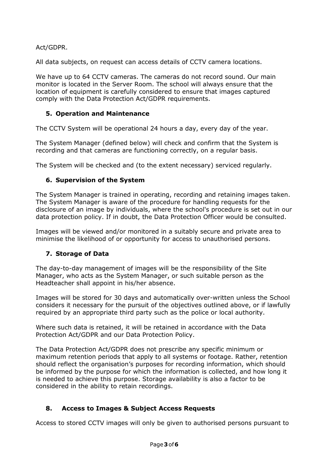Act/GDPR.

All data subjects, on request can access details of CCTV camera locations.

We have up to 64 CCTV cameras. The cameras do not record sound. Our main monitor is located in the Server Room. The school will always ensure that the location of equipment is carefully considered to ensure that images captured comply with the Data Protection Act/GDPR requirements.

#### **5. Operation and Maintenance**

The CCTV System will be operational 24 hours a day, every day of the year.

The System Manager (defined below) will check and confirm that the System is recording and that cameras are functioning correctly, on a regular basis.

The System will be checked and (to the extent necessary) serviced regularly.

## **6. Supervision of the System**

The System Manager is trained in operating, recording and retaining images taken. The System Manager is aware of the procedure for handling requests for the disclosure of an image by individuals, where the school's procedure is set out in our data protection policy. If in doubt, the Data Protection Officer would be consulted.

Images will be viewed and/or monitored in a suitably secure and private area to minimise the likelihood of or opportunity for access to unauthorised persons.

## **7. Storage of Data**

The day-to-day management of images will be the responsibility of the Site Manager, who acts as the System Manager, or such suitable person as the Headteacher shall appoint in his/her absence.

Images will be stored for 30 days and automatically over-written unless the School considers it necessary for the pursuit of the objectives outlined above, or if lawfully required by an appropriate third party such as the police or local authority.

Where such data is retained, it will be retained in accordance with the Data Protection Act/GDPR and our Data Protection Policy.

The Data Protection Act/GDPR does not prescribe any specific minimum or maximum retention periods that apply to all systems or footage. Rather, retention should reflect the organisation's purposes for recording information, which should be informed by the purpose for which the information is collected, and how long it is needed to achieve this purpose. Storage availability is also a factor to be considered in the ability to retain recordings.

## **8. Access to Images & Subject Access Requests**

Access to stored CCTV images will only be given to authorised persons pursuant to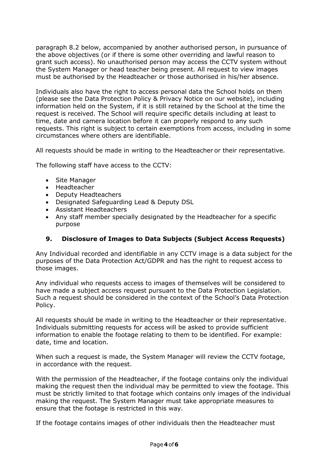paragraph 8.2 below, accompanied by another authorised person, in pursuance of the above objectives (or if there is some other overriding and lawful reason to grant such access). No unauthorised person may access the CCTV system without the System Manager or head teacher being present. All request to view images must be authorised by the Headteacher or those authorised in his/her absence.

Individuals also have the right to access personal data the School holds on them (please see the Data Protection Policy & Privacy Notice on our website), including information held on the System, if it is still retained by the School at the time the request is received. The School will require specific details including at least to time, date and camera location before it can properly respond to any such requests. This right is subject to certain exemptions from access, including in some circumstances where others are identifiable.

All requests should be made in writing to the Headteacher or their representative.

The following staff have access to the CCTV:

- Site Manager
- Headteacher
- Deputy Headteachers
- Designated Safeguarding Lead & Deputy DSL
- Assistant Headteachers
- Any staff member specially designated by the Headteacher for a specific purpose

#### **9. Disclosure of Images to Data Subjects (Subject Access Requests)**

Any Individual recorded and identifiable in any CCTV image is a data subject for the purposes of the Data Protection Act/GDPR and has the right to request access to those images.

Any individual who requests access to images of themselves will be considered to have made a subject access request pursuant to the Data Protection Legislation. Such a request should be considered in the context of the School's Data Protection Policy.

All requests should be made in writing to the Headteacher or their representative. Individuals submitting requests for access will be asked to provide sufficient information to enable the footage relating to them to be identified. For example: date, time and location.

When such a request is made, the System Manager will review the CCTV footage, in accordance with the request.

With the permission of the Headteacher, if the footage contains only the individual making the request then the individual may be permitted to view the footage. This must be strictly limited to that footage which contains only images of the individual making the request. The System Manager must take appropriate measures to ensure that the footage is restricted in this way.

If the footage contains images of other individuals then the Headteacher must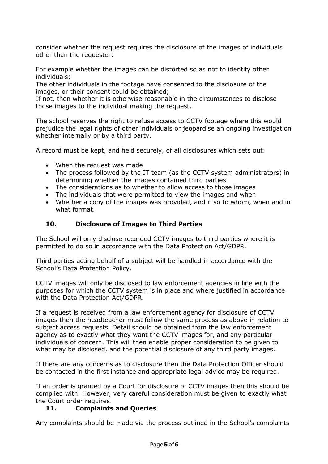consider whether the request requires the disclosure of the images of individuals other than the requester:

For example whether the images can be distorted so as not to identify other individuals;

The other individuals in the footage have consented to the disclosure of the images, or their consent could be obtained;

If not, then whether it is otherwise reasonable in the circumstances to disclose those images to the individual making the request.

The school reserves the right to refuse access to CCTV footage where this would prejudice the legal rights of other individuals or jeopardise an ongoing investigation whether internally or by a third party.

A record must be kept, and held securely, of all disclosures which sets out:

- When the request was made
- The process followed by the IT team (as the CCTV system administrators) in determining whether the images contained third parties
- The considerations as to whether to allow access to those images
- The individuals that were permitted to view the images and when
- Whether a copy of the images was provided, and if so to whom, when and in what format.

## **10. Disclosure of Images to Third Parties**

The School will only disclose recorded CCTV images to third parties where it is permitted to do so in accordance with the Data Protection Act/GDPR.

Third parties acting behalf of a subject will be handled in accordance with the School's Data Protection Policy.

CCTV images will only be disclosed to law enforcement agencies in line with the purposes for which the CCTV system is in place and where justified in accordance with the Data Protection Act/GDPR.

If a request is received from a law enforcement agency for disclosure of CCTV images then the headteacher must follow the same process as above in relation to subject access requests. Detail should be obtained from the law enforcement agency as to exactly what they want the CCTV images for, and any particular individuals of concern. This will then enable proper consideration to be given to what may be disclosed, and the potential disclosure of any third party images.

If there are any concerns as to disclosure then the Data Protection Officer should be contacted in the first instance and appropriate legal advice may be required.

If an order is granted by a Court for disclosure of CCTV images then this should be complied with. However, very careful consideration must be given to exactly what the Court order requires.

## **11. Complaints and Queries**

Any complaints should be made via the process outlined in the School's complaints